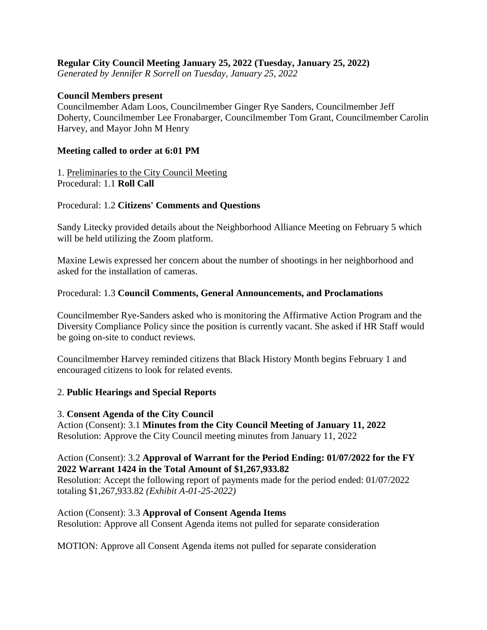# **Regular City Council Meeting January 25, 2022 (Tuesday, January 25, 2022)**

*Generated by Jennifer R Sorrell on Tuesday, January 25, 2022*

#### **Council Members present**

Councilmember Adam Loos, Councilmember Ginger Rye Sanders, Councilmember Jeff Doherty, Councilmember Lee Fronabarger, Councilmember Tom Grant, Councilmember Carolin Harvey, and Mayor John M Henry

#### **Meeting called to order at 6:01 PM**

1. Preliminaries to the City Council Meeting Procedural: 1.1 **Roll Call**

### Procedural: 1.2 **Citizens' Comments and Questions**

Sandy Litecky provided details about the Neighborhood Alliance Meeting on February 5 which will be held utilizing the Zoom platform.

Maxine Lewis expressed her concern about the number of shootings in her neighborhood and asked for the installation of cameras.

#### Procedural: 1.3 **Council Comments, General Announcements, and Proclamations**

Councilmember Rye-Sanders asked who is monitoring the Affirmative Action Program and the Diversity Compliance Policy since the position is currently vacant. She asked if HR Staff would be going on-site to conduct reviews.

Councilmember Harvey reminded citizens that Black History Month begins February 1 and encouraged citizens to look for related events.

### 2. **Public Hearings and Special Reports**

#### 3. **Consent Agenda of the City Council**

Action (Consent): 3.1 **Minutes from the City Council Meeting of January 11, 2022** Resolution: Approve the City Council meeting minutes from January 11, 2022

### Action (Consent): 3.2 **Approval of Warrant for the Period Ending: 01/07/2022 for the FY 2022 Warrant 1424 in the Total Amount of \$1,267,933.82**

Resolution: Accept the following report of payments made for the period ended: 01/07/2022 totaling \$1,267,933.82 *(Exhibit A-01-25-2022)*

### Action (Consent): 3.3 **Approval of Consent Agenda Items**

Resolution: Approve all Consent Agenda items not pulled for separate consideration

MOTION: Approve all Consent Agenda items not pulled for separate consideration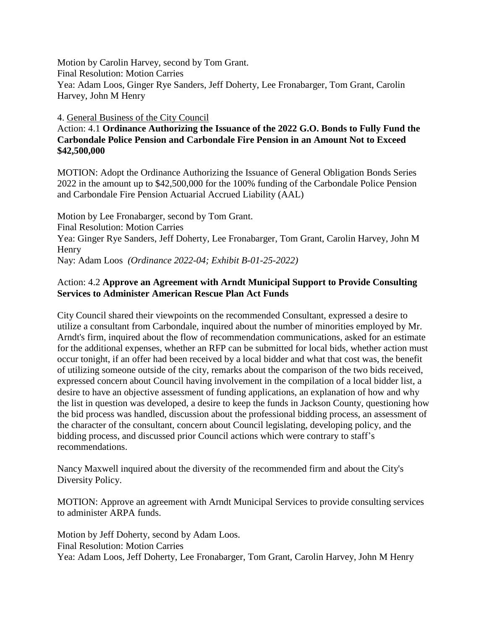Motion by Carolin Harvey, second by Tom Grant. Final Resolution: Motion Carries Yea: Adam Loos, Ginger Rye Sanders, Jeff Doherty, Lee Fronabarger, Tom Grant, Carolin Harvey, John M Henry

4. General Business of the City Council

Action: 4.1 **Ordinance Authorizing the Issuance of the 2022 G.O. Bonds to Fully Fund the Carbondale Police Pension and Carbondale Fire Pension in an Amount Not to Exceed \$42,500,000**

MOTION: Adopt the Ordinance Authorizing the Issuance of General Obligation Bonds Series 2022 in the amount up to \$42,500,000 for the 100% funding of the Carbondale Police Pension and Carbondale Fire Pension Actuarial Accrued Liability (AAL)

Motion by Lee Fronabarger, second by Tom Grant. Final Resolution: Motion Carries Yea: Ginger Rye Sanders, Jeff Doherty, Lee Fronabarger, Tom Grant, Carolin Harvey, John M **Henry** Nay: Adam Loos *(Ordinance 2022-04; Exhibit B-01-25-2022)*

# Action: 4.2 **Approve an Agreement with Arndt Municipal Support to Provide Consulting Services to Administer American Rescue Plan Act Funds**

City Council shared their viewpoints on the recommended Consultant, expressed a desire to utilize a consultant from Carbondale, inquired about the number of minorities employed by Mr. Arndt's firm, inquired about the flow of recommendation communications, asked for an estimate for the additional expenses, whether an RFP can be submitted for local bids, whether action must occur tonight, if an offer had been received by a local bidder and what that cost was, the benefit of utilizing someone outside of the city, remarks about the comparison of the two bids received, expressed concern about Council having involvement in the compilation of a local bidder list, a desire to have an objective assessment of funding applications, an explanation of how and why the list in question was developed, a desire to keep the funds in Jackson County, questioning how the bid process was handled, discussion about the professional bidding process, an assessment of the character of the consultant, concern about Council legislating, developing policy, and the bidding process, and discussed prior Council actions which were contrary to staff's recommendations.

Nancy Maxwell inquired about the diversity of the recommended firm and about the City's Diversity Policy.

MOTION: Approve an agreement with Arndt Municipal Services to provide consulting services to administer ARPA funds.

Motion by Jeff Doherty, second by Adam Loos. Final Resolution: Motion Carries Yea: Adam Loos, Jeff Doherty, Lee Fronabarger, Tom Grant, Carolin Harvey, John M Henry